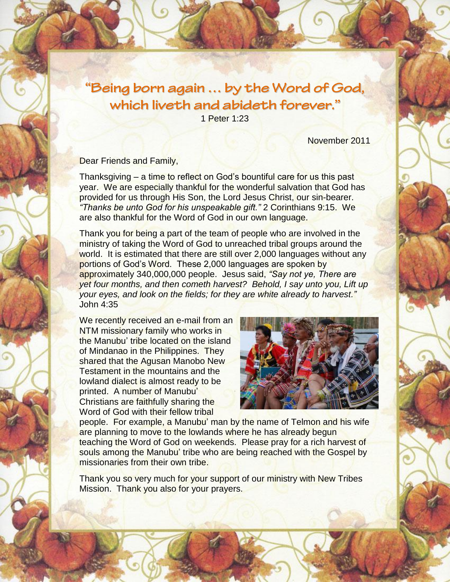## "Being born again ... by the Word of God, which liveth and abideth forever."

1 Peter 1:23

November 2011

Dear Friends and Family,

Thanksgiving – a time to reflect on God's bountiful care for us this past year. We are especially thankful for the wonderful salvation that God has provided for us through His Son, the Lord Jesus Christ, our sin-bearer. *"Thanks be unto God for his unspeakable gift."* 2 Corinthians 9:15. We are also thankful for the Word of God in our own language.

Thank you for being a part of the team of people who are involved in the ministry of taking the Word of God to unreached tribal groups around the world. It is estimated that there are still over 2,000 languages without any portions of God's Word. These 2,000 languages are spoken by approximately 340,000,000 people. Jesus said, *"Say not ye, There are yet four months, and then cometh harvest? Behold, I say unto you, Lift up your eyes, and look on the fields; for they are white already to harvest."* John 4:35

We recently received an e-mail from an NTM missionary family who works in the Manubu' tribe located on the island of Mindanao in the Philippines. They shared that the Agusan Manobo New Testament in the mountains and the lowland dialect is almost ready to be printed. A number of Manubu' Christians are faithfully sharing the Word of God with their fellow tribal



people. For example, a Manubu' man by the name of Telmon and his wife are planning to move to the lowlands where he has already begun teaching the Word of God on weekends. Please pray for a rich harvest of souls among the Manubu' tribe who are being reached with the Gospel by missionaries from their own tribe.

Thank you so very much for your support of our ministry with New Tribes Mission. Thank you also for your prayers.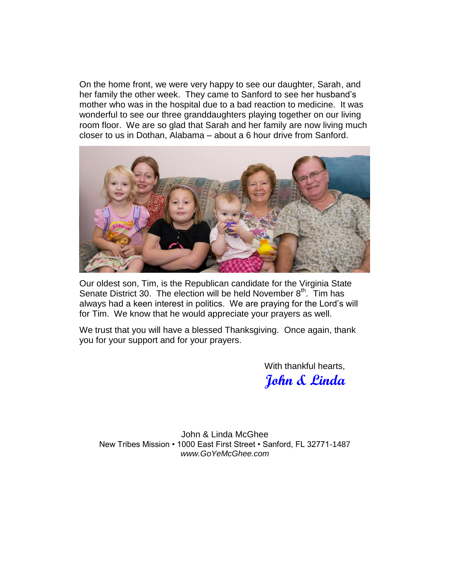On the home front, we were very happy to see our daughter, Sarah, and her family the other week. They came to Sanford to see her husband's mother who was in the hospital due to a bad reaction to medicine. It was wonderful to see our three granddaughters playing together on our living room floor. We are so glad that Sarah and her family are now living much closer to us in Dothan, Alabama – about a 6 hour drive from Sanford.



Our oldest son, Tim, is the Republican candidate for the Virginia State Senate District 30. The election will be held November  $8<sup>th</sup>$ . Tim has always had a keen interest in politics. We are praying for the Lord's will for Tim. We know that he would appreciate your prayers as well.

We trust that you will have a blessed Thanksgiving. Once again, thank you for your support and for your prayers.

> With thankful hearts, **John & Linda**

John & Linda McGhee New Tribes Mission • 1000 East First Street • Sanford, FL 32771-1487 *[www.GoYeMcGhee.com](http://www.goyemcghee.com/)*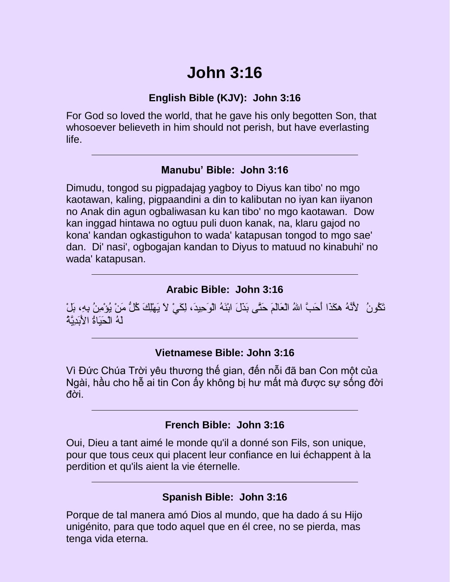# **John 3:16**

#### **English Bible (KJV): John 3:16**

For God so loved the world, that he gave his only begotten Son, that whosoever believeth in him should not perish, but have everlasting life.

#### **Manubu' Bible: John 3:16**

Dimudu, tongod su pigpadajag yagboy to Diyus kan tibo' no mgo kaotawan, kaling, pigpaandini a din to kalibutan no iyan kan iiyanon no Anak din agun ogbaliwasan ku kan tibo' no mgo kaotawan. Dow kan inggad hintawa no ogtuu puli duon kanak, na, klaru gajod no kona' kandan ogkastiguhon to wada' katapusan tongod to mgo sae' dan. Di' nasi', ogbogajan kandan to Diyus to matuud no kinabuhi' no wada' katapusan.

#### **Arabic Bible: John 3:16**

نَكُونُ ۗ لِأَنَّهُ هكَذَا أَحَبَّ اللهُ الْعَالَمَ حَتَّى بَذَلَ ابْنَهُ الْوَحِيدَ، لِكَيْ لاَ يَهْلِكَ كُلُّ مَنْ يُؤْمِنُ بِهِ، بَلْ  $\degree$ لَهُ الْحَنَاةُ الأَنَدِيَّةُ

#### **Vietnamese Bible: John 3:16**

Vì Đức Chúa Trời yêu thương thế gian, đến nỗi đã ban Con một của Ngài, hầu cho hễ ai tin Con ấy không bị hư mất mà được sự sống đời đời.

#### **French Bible: John 3:16**

Oui, Dieu a tant aimé le monde qu'il a donné son Fils, son unique, pour que tous ceux qui placent leur confiance en lui échappent à la perdition et qu'ils aient la vie éternelle.

#### **Spanish Bible: John 3:16**

Porque de tal manera amó Dios al mundo, que ha dado á su Hijo unigénito, para que todo aquel que en él cree, no se pierda, mas tenga vida eterna.